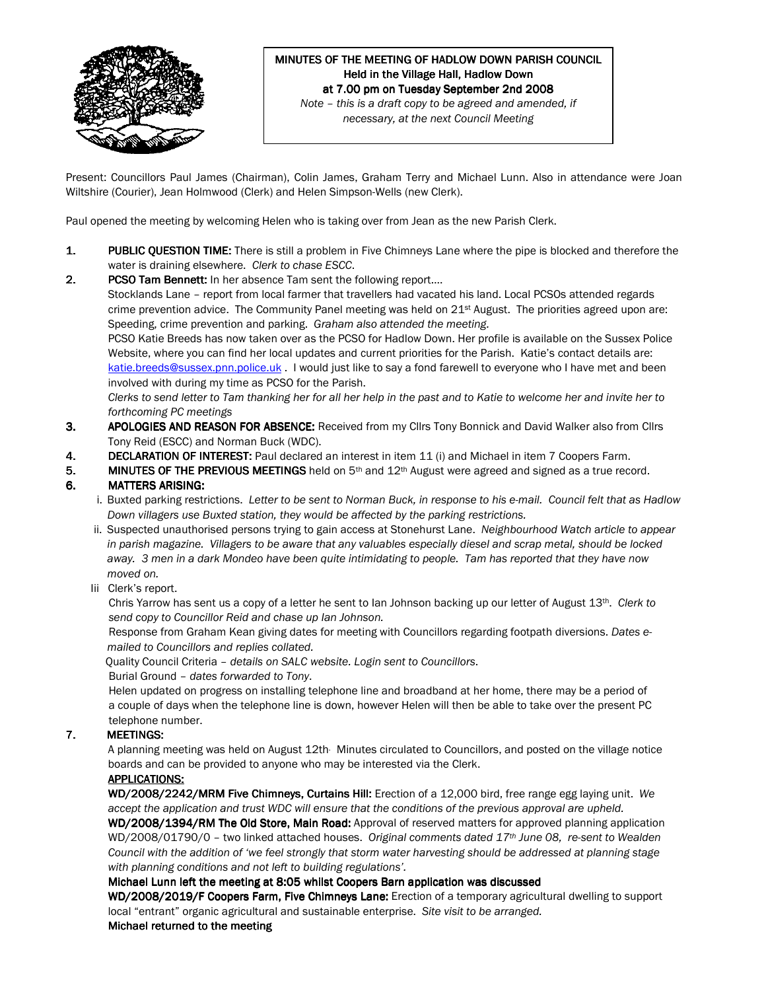

### MINUTES OF THE MEETING OF HADLOW DOWN PARISH COUNCIL Held in the Village Hall, Hadlow Down at 7.00 pm on Tuesday September 2nd 2008 Note – this is a draft copy to be agreed and amended, if

necessary, at the next Council Meeting

Present: Councillors Paul James (Chairman), Colin James, Graham Terry and Michael Lunn. Also in attendance were Joan Wiltshire (Courier), Jean Holmwood (Clerk) and Helen Simpson-Wells (new Clerk).

Paul opened the meeting by welcoming Helen who is taking over from Jean as the new Parish Clerk.

- 1. PUBLIC QUESTION TIME: There is still a problem in Five Chimneys Lane where the pipe is blocked and therefore the water is draining elsewhere. Clerk to chase ESCC.
- 2. PCSO Tam Bennett: In her absence Tam sent the following report.... Stocklands Lane – report from local farmer that travellers had vacated his land. Local PCSOs attended regards crime prevention advice. The Community Panel meeting was held on 21<sup>st</sup> August. The priorities agreed upon are: Speeding, crime prevention and parking. Graham also attended the meeting. PCSO Katie Breeds has now taken over as the PCSO for Hadlow Down. Her profile is available on the Sussex Police Website, where you can find her local updates and current priorities for the Parish. Katie's contact details are: katie.breeds@sussex.pnn.police.uk . I would just like to say a fond farewell to everyone who I have met and been involved with during my time as PCSO for the Parish. Clerks to send letter to Tam thanking her for all her help in the past and to Katie to welcome her and invite her to forthcoming PC meetings 3. APOLOGIES AND REASON FOR ABSENCE: Received from my Cllrs Tony Bonnick and David Walker also from Cllrs
- Tony Reid (ESCC) and Norman Buck (WDC).
- 4. DECLARATION OF INTEREST: Paul declared an interest in item 11 (i) and Michael in item 7 Coopers Farm.
- 5. MINUTES OF THE PREVIOUS MEETINGS held on  $5<sup>th</sup>$  and  $12<sup>th</sup>$  August were agreed and signed as a true record. 6. MATTERS ARISING: MATTERS ARISING:

- i. Buxted parking restrictions. Letter to be sent to Norman Buck, in response to his e-mail. Council felt that as Hadlow Down villagers use Buxted station, they would be affected by the parking restrictions.
- ii. Suspected unauthorised persons trying to gain access at Stonehurst Lane. Neighbourhood Watch article to appear in parish magazine. Villagers to be aware that any valuables especially diesel and scrap metal, should be locked away. 3 men in a dark Mondeo have been quite intimidating to people. Tam has reported that they have now moved on.
- Iii Clerk's report.

Chris Yarrow has sent us a copy of a letter he sent to Ian Johnson backing up our letter of August  $13<sup>th</sup>$ . Clerk to send copy to Councillor Reid and chase up Ian Johnson.

 Response from Graham Kean giving dates for meeting with Councillors regarding footpath diversions. Dates emailed to Councillors and replies collated.

Quality Council Criteria – details on SALC website. Login sent to Councillors.

Burial Ground – dates forwarded to Tony.

 Helen updated on progress on installing telephone line and broadband at her home, there may be a period of a couple of days when the telephone line is down, however Helen will then be able to take over the present PC telephone number.

## 7. MEETINGS:

A planning meeting was held on August 12th Minutes circulated to Councillors, and posted on the village notice boards and can be provided to anyone who may be interested via the Clerk.

## APPLICATIONS:

WD/2008/2242/MRM Five Chimneys, Curtains Hill: Erection of a 12,000 bird, free range egg laying unit. We accept the application and trust WDC will ensure that the conditions of the previous approval are upheld. WD/2008/1394/RM The Old Store, Main Road: Approval of reserved matters for approved planning application WD/2008/01790/0 - two linked attached houses. Original comments dated 17th June 08, re-sent to Wealden Council with the addition of 'we feel strongly that storm water harvesting should be addressed at planning stage with planning conditions and not left to building regulations'.

#### Michael Lunn left the meeting at 8:05 whilst Coopers Barn application was discussed

WD/2008/2019/F Coopers Farm, Five Chimneys Lane: Erection of a temporary agricultural dwelling to support local "entrant" organic agricultural and sustainable enterprise. Site visit to be arranged.

#### Michael returned to the meeting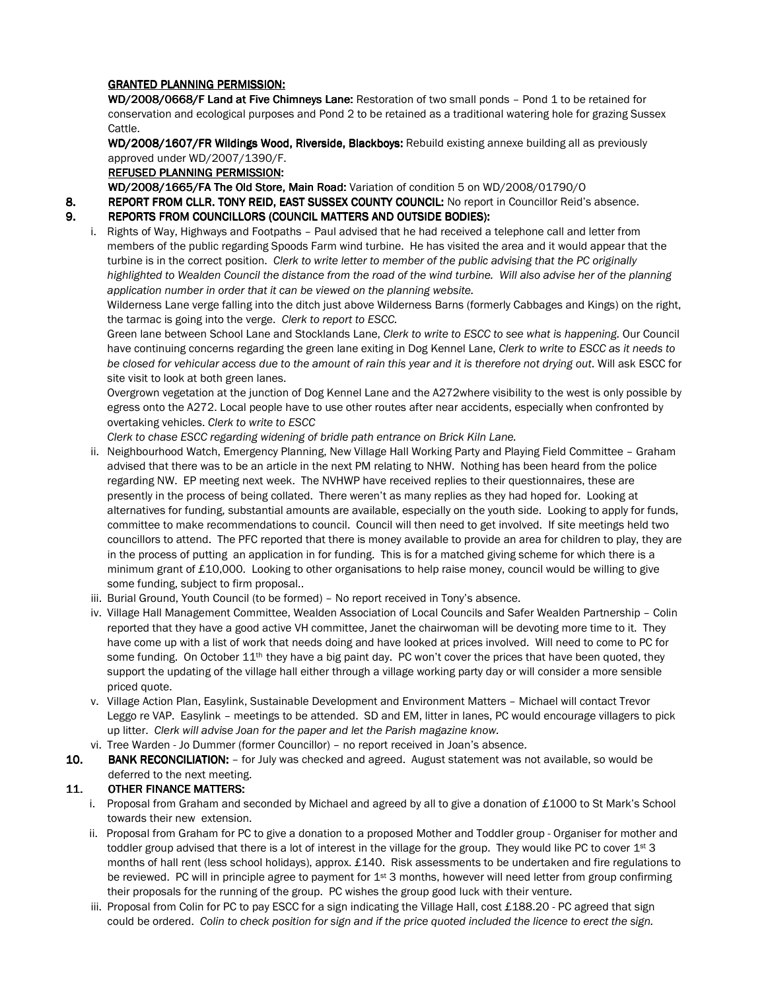# GRANTED PLANNING PERMISSION:

WD/2008/0668/F Land at Five Chimneys Lane: Restoration of two small ponds - Pond 1 to be retained for conservation and ecological purposes and Pond 2 to be retained as a traditional watering hole for grazing Sussex Cattle.

WD/2008/1607/FR Wildings Wood, Riverside, Blackboys: Rebuild existing annexe building all as previously approved under WD/2007/1390/F.

# REFUSED PLANNING PERMISSION:

WD/2008/1665/FA The Old Store, Main Road: Variation of condition 5 on WD/2008/01790/0

8. REPORT FROM CLLR. TONY REID, EAST SUSSEX COUNTY COUNCIL: No report in Councillor Reid's absence.

# 9. REPORTS FROM COUNCILLORS (COUNCIL MATTERS AND OUTSIDE BODIES):

i. Rights of Way, Highways and Footpaths – Paul advised that he had received a telephone call and letter from members of the public regarding Spoods Farm wind turbine. He has visited the area and it would appear that the turbine is in the correct position. Clerk to write letter to member of the public advising that the PC originally highlighted to Wealden Council the distance from the road of the wind turbine. Will also advise her of the planning application number in order that it can be viewed on the planning website.

Wilderness Lane verge falling into the ditch just above Wilderness Barns (formerly Cabbages and Kings) on the right, the tarmac is going into the verge. Clerk to report to ESCC.

Green lane between School Lane and Stocklands Lane, Clerk to write to ESCC to see what is happening. Our Council have continuing concerns regarding the green lane exiting in Dog Kennel Lane, Clerk to write to ESCC as it needs to be closed for vehicular access due to the amount of rain this year and it is therefore not drying out. Will ask ESCC for site visit to look at both green lanes.

Overgrown vegetation at the junction of Dog Kennel Lane and the A272where visibility to the west is only possible by egress onto the A272. Local people have to use other routes after near accidents, especially when confronted by overtaking vehicles. Clerk to write to ESCC

Clerk to chase ESCC regarding widening of bridle path entrance on Brick Kiln Lane.

- ii. Neighbourhood Watch, Emergency Planning, New Village Hall Working Party and Playing Field Committee Graham advised that there was to be an article in the next PM relating to NHW. Nothing has been heard from the police regarding NW. EP meeting next week. The NVHWP have received replies to their questionnaires, these are presently in the process of being collated. There weren't as many replies as they had hoped for. Looking at alternatives for funding, substantial amounts are available, especially on the youth side. Looking to apply for funds, committee to make recommendations to council. Council will then need to get involved. If site meetings held two councillors to attend. The PFC reported that there is money available to provide an area for children to play, they are in the process of putting an application in for funding. This is for a matched giving scheme for which there is a minimum grant of £10,000. Looking to other organisations to help raise money, council would be willing to give some funding, subject to firm proposal..
- iii. Burial Ground, Youth Council (to be formed) No report received in Tony's absence.
- iv. Village Hall Management Committee, Wealden Association of Local Councils and Safer Wealden Partnership Colin reported that they have a good active VH committee, Janet the chairwoman will be devoting more time to it. They have come up with a list of work that needs doing and have looked at prices involved. Will need to come to PC for some funding. On October 11<sup>th</sup> they have a big paint day. PC won't cover the prices that have been quoted, they support the updating of the village hall either through a village working party day or will consider a more sensible priced quote.
- v. Village Action Plan, Easylink, Sustainable Development and Environment Matters Michael will contact Trevor Leggo re VAP. Easylink – meetings to be attended. SD and EM, litter in lanes, PC would encourage villagers to pick up litter. Clerk will advise Joan for the paper and let the Parish magazine know.
- vi. Tree Warden Jo Dummer (former Councillor) no report received in Joan's absence.
- 10. BANK RECONCILIATION: for July was checked and agreed. August statement was not available, so would be deferred to the next meeting.

# 11. OTHER FINANCE MATTERS:

- i. Proposal from Graham and seconded by Michael and agreed by all to give a donation of £1000 to St Mark's School towards their new extension.
- ii. Proposal from Graham for PC to give a donation to a proposed Mother and Toddler group Organiser for mother and toddler group advised that there is a lot of interest in the village for the group. They would like PC to cover  $1^{st}$  3 months of hall rent (less school holidays), approx. £140. Risk assessments to be undertaken and fire regulations to be reviewed. PC will in principle agree to payment for 1<sup>st</sup> 3 months, however will need letter from group confirming their proposals for the running of the group. PC wishes the group good luck with their venture.
- iii. Proposal from Colin for PC to pay ESCC for a sign indicating the Village Hall, cost £188.20 PC agreed that sign could be ordered. Colin to check position for sign and if the price quoted included the licence to erect the sign.